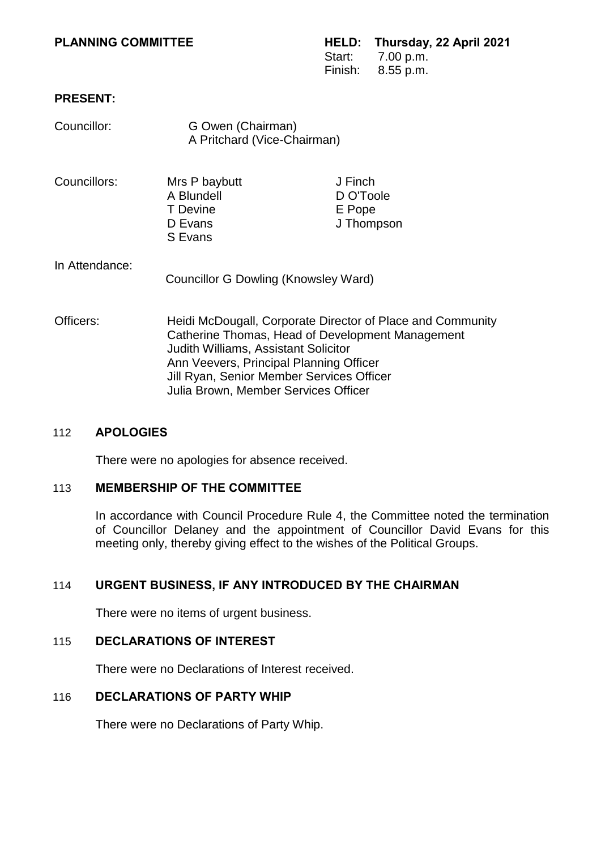## **PRESENT:**

| Councillor:    | G Owen (Chairman)<br>A Pritchard (Vice-Chairman)                                                                                                                                                                                                                                              |                                              |
|----------------|-----------------------------------------------------------------------------------------------------------------------------------------------------------------------------------------------------------------------------------------------------------------------------------------------|----------------------------------------------|
| Councillors:   | Mrs P baybutt<br>A Blundell<br><b>T</b> Devine<br>D Evans<br>S Evans                                                                                                                                                                                                                          | J Finch<br>D O'Toole<br>E Pope<br>J Thompson |
| In Attendance: | <b>Councillor G Dowling (Knowsley Ward)</b>                                                                                                                                                                                                                                                   |                                              |
| Officers:      | Heidi McDougall, Corporate Director of Place and Community<br>Catherine Thomas, Head of Development Management<br><b>Judith Williams, Assistant Solicitor</b><br>Ann Veevers, Principal Planning Officer<br>Jill Ryan, Senior Member Services Officer<br>Julia Brown, Member Services Officer |                                              |

### 112 **APOLOGIES**

There were no apologies for absence received.

### 113 **MEMBERSHIP OF THE COMMITTEE**

In accordance with Council Procedure Rule 4, the Committee noted the termination of Councillor Delaney and the appointment of Councillor David Evans for this meeting only, thereby giving effect to the wishes of the Political Groups.

# 114 **URGENT BUSINESS, IF ANY INTRODUCED BY THE CHAIRMAN**

There were no items of urgent business.

# 115 **DECLARATIONS OF INTEREST**

There were no Declarations of Interest received.

# 116 **DECLARATIONS OF PARTY WHIP**

There were no Declarations of Party Whip.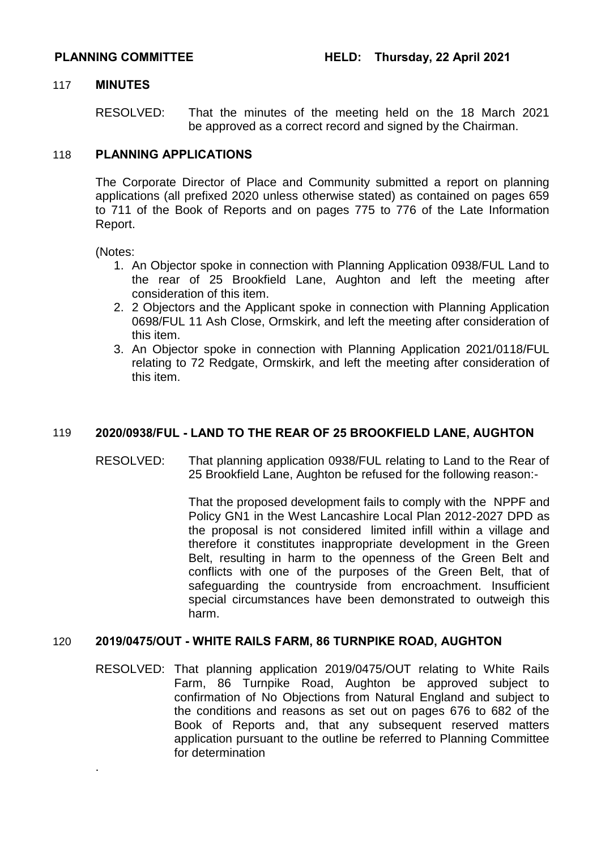### 117 **MINUTES**

RESOLVED: That the minutes of the meeting held on the 18 March 2021 be approved as a correct record and signed by the Chairman.

## 118 **PLANNING APPLICATIONS**

The Corporate Director of Place and Community submitted a report on planning applications (all prefixed 2020 unless otherwise stated) as contained on pages 659 to 711 of the Book of Reports and on pages 775 to 776 of the Late Information Report.

(Notes:

.

- 1. An Objector spoke in connection with Planning Application 0938/FUL Land to the rear of 25 Brookfield Lane, Aughton and left the meeting after consideration of this item.
- 2. 2 Objectors and the Applicant spoke in connection with Planning Application 0698/FUL 11 Ash Close, Ormskirk, and left the meeting after consideration of this item.
- 3. An Objector spoke in connection with Planning Application 2021/0118/FUL relating to 72 Redgate, Ormskirk, and left the meeting after consideration of this item.

# 119 **2020/0938/FUL - LAND TO THE REAR OF 25 BROOKFIELD LANE, AUGHTON**

RESOLVED: That planning application 0938/FUL relating to Land to the Rear of 25 Brookfield Lane, Aughton be refused for the following reason:-

> That the proposed development fails to comply with the NPPF and Policy GN1 in the West Lancashire Local Plan 2012-2027 DPD as the proposal is not considered limited infill within a village and therefore it constitutes inappropriate development in the Green Belt, resulting in harm to the openness of the Green Belt and conflicts with one of the purposes of the Green Belt, that of safeguarding the countryside from encroachment. Insufficient special circumstances have been demonstrated to outweigh this harm.

### 120 **2019/0475/OUT - WHITE RAILS FARM, 86 TURNPIKE ROAD, AUGHTON**

RESOLVED: That planning application 2019/0475/OUT relating to White Rails Farm, 86 Turnpike Road, Aughton be approved subject to confirmation of No Objections from Natural England and subject to the conditions and reasons as set out on pages 676 to 682 of the Book of Reports and, that any subsequent reserved matters application pursuant to the outline be referred to Planning Committee for determination